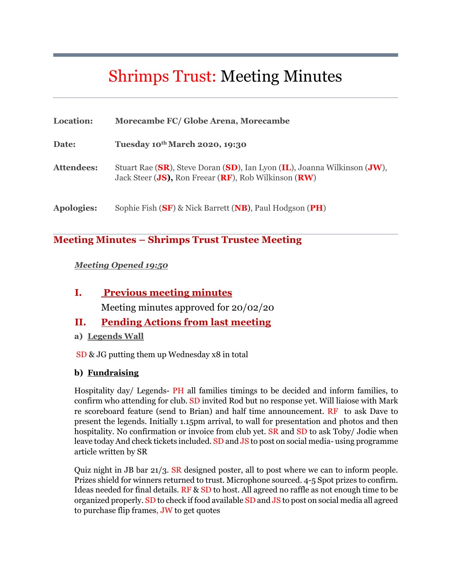# Shrimps Trust: Meeting Minutes

| Location:         | Morecambe FC/ Globe Arena, Morecambe                                                                                             |
|-------------------|----------------------------------------------------------------------------------------------------------------------------------|
| Date:             | Tuesday 10th March 2020, 19:30                                                                                                   |
| <b>Attendees:</b> | Stuart Rae (SR), Steve Doran (SD), Ian Lyon (IL), Joanna Wilkinson (JW),<br>Jack Steer (JS), Ron Freear (RF), Rob Wilkinson (RW) |
| <b>Apologies:</b> | Sophie Fish (SF) & Nick Barrett (NB), Paul Hodgson (PH)                                                                          |

## **Meeting Minutes – Shrimps Trust Trustee Meeting**

#### *Meeting Opened 19:50*

#### **I. Previous meeting minutes**

Meeting minutes approved for 20/02/20

#### **II. Pending Actions from last meeting**

**a) Legends Wall**

SD & JG putting them up Wednesday x8 in total

#### **b) Fundraising**

Hospitality day/ Legends- PH all families timings to be decided and inform families, to confirm who attending for club. SD invited Rod but no response yet. Will liaiose with Mark re scoreboard feature (send to Brian) and half time announcement. RF to ask Dave to present the legends. Initially 1.15pm arrival, to wall for presentation and photos and then hospitality. No confirmation or invoice from club yet. SR and SD to ask Toby/ Jodie when leave today And check tickets included. SD and JS to post on social media- using programme article written by SR

Quiz night in JB bar 21/3. SR designed poster, all to post where we can to inform people. Prizes shield for winners returned to trust. Microphone sourced. 4-5 Spot prizes to confirm. Ideas needed for final details. RF & SD to host. All agreed no raffle as not enough time to be organized properly. SD to check if food available SD and JS to post on social media all agreed to purchase flip frames, JW to get quotes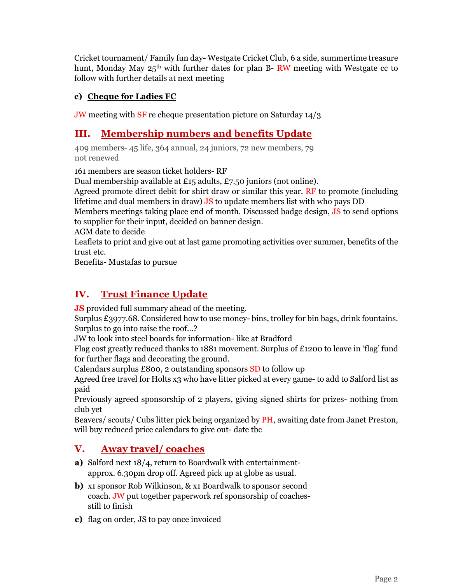Cricket tournament/ Family fun day- Westgate Cricket Club, 6 a side, summertime treasure hunt, Monday May  $25<sup>th</sup>$  with further dates for plan B- RW meeting with Westgate cc to follow with further details at next meeting

#### **c) Cheque for Ladies FC**

JW meeting with SF re cheque presentation picture on Saturday 14/3

## **III. Membership numbers and benefits Update**

409 members- 45 life, 364 annual, 24 juniors, 72 new members, 79 not renewed

161 members are season ticket holders- RF

Dual membership available at £15 adults, £7.50 juniors (not online).

Agreed promote direct debit for shirt draw or similar this year. RF to promote (including lifetime and dual members in draw) JS to update members list with who pays DD

Members meetings taking place end of month. Discussed badge design, JS to send options to supplier for their input, decided on banner design.

AGM date to decide

Leaflets to print and give out at last game promoting activities over summer, benefits of the trust etc.

Benefits- Mustafas to pursue

## **IV. Trust Finance Update**

**JS** provided full summary ahead of the meeting.

Surplus £3977.68. Considered how to use money- bins, trolley for bin bags, drink fountains. Surplus to go into raise the roof…?

JW to look into steel boards for information- like at Bradford

Flag cost greatly reduced thanks to 1881 movement. Surplus of £1200 to leave in 'flag' fund for further flags and decorating the ground.

Calendars surplus £800, 2 outstanding sponsors SD to follow up

Agreed free travel for Holts x3 who have litter picked at every game- to add to Salford list as paid

Previously agreed sponsorship of 2 players, giving signed shirts for prizes- nothing from club yet

Beavers/ scouts/ Cubs litter pick being organized by PH, awaiting date from Janet Preston, will buy reduced price calendars to give out- date tbc

## **V. Away travel/ coaches**

- **a)** Salford next 18/4, return to Boardwalk with entertainmentapprox. 6.30pm drop off. Agreed pick up at globe as usual.
- **b)** x1 sponsor Rob Wilkinson, & x1 Boardwalk to sponsor second coach. JW put together paperwork ref sponsorship of coachesstill to finish
- **c)** flag on order, JS to pay once invoiced